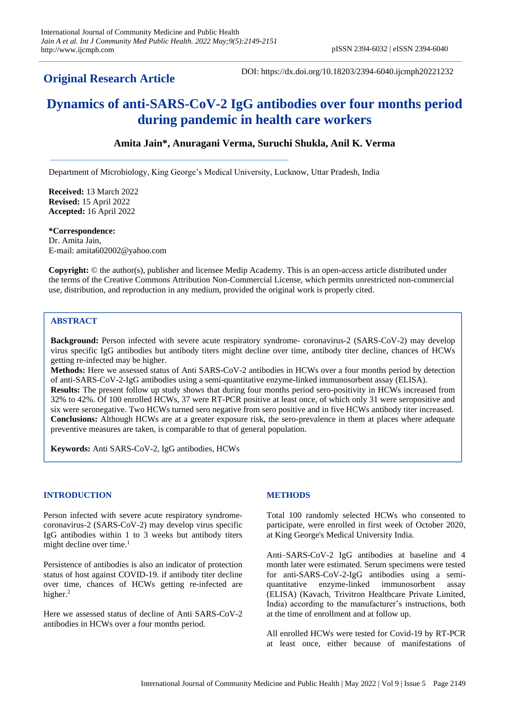# **Original Research Article**

DOI: https://dx.doi.org/10.18203/2394-6040.ijcmph20221232

# **Dynamics of anti-SARS-CoV-2 IgG antibodies over four months period during pandemic in health care workers**

# **Amita Jain\*, Anuragani Verma, Suruchi Shukla, Anil K. Verma**

Department of Microbiology, King George's Medical University, Lucknow, Uttar Pradesh, India

**Received:** 13 March 2022 **Revised:** 15 April 2022 **Accepted:** 16 April 2022

**\*Correspondence:** Dr. Amita Jain, E-mail: amita602002@yahoo.com

**Copyright:** © the author(s), publisher and licensee Medip Academy. This is an open-access article distributed under the terms of the Creative Commons Attribution Non-Commercial License, which permits unrestricted non-commercial use, distribution, and reproduction in any medium, provided the original work is properly cited.

# **ABSTRACT**

**Background:** Person infected with severe acute respiratory syndrome- coronavirus-2 (SARS-CoV-2) may develop virus specific IgG antibodies but antibody titers might decline over time, antibody titer decline, chances of HCWs getting re-infected may be higher.

**Methods:** Here we assessed status of Anti SARS-CoV-2 antibodies in HCWs over a four months period by detection of anti-SARS-CoV-2-IgG antibodies using a semi-quantitative enzyme-linked immunosorbent assay (ELISA). **Results:** The present follow up study shows that during four months period sero-positivity in HCWs increased from 32% to 42%. Of 100 enrolled HCWs, 37 were RT-PCR positive at least once, of which only 31 were seropositive and six were seronegative. Two HCWs turned sero negative from sero positive and in five HCWs antibody titer increased. **Conclusions:** Although HCWs are at a greater exposure risk, the sero-prevalence in them at places where adequate preventive measures are taken, is comparable to that of general population.

**Keywords:** Anti SARS-CoV-2, IgG antibodies, HCWs

## **INTRODUCTION**

Person infected with severe acute respiratory syndromecoronavirus-2 (SARS-CoV-2) may develop virus specific IgG antibodies within 1 to 3 weeks but antibody titers might decline over time.<sup>1</sup>

Persistence of antibodies is also an indicator of protection status of host against COVID-19. if antibody titer decline over time, chances of HCWs getting re-infected are higher.<sup>2</sup>

Here we assessed status of decline of Anti SARS-CoV-2 antibodies in HCWs over a four months period.

## **METHODS**

Total 100 randomly selected HCWs who consented to participate, were enrolled in first week of October 2020, at King George's Medical University India.

Anti–SARS-CoV-2 IgG antibodies at baseline and 4 month later were estimated. Serum specimens were tested for anti-SARS-CoV-2-IgG antibodies using a semiquantitative enzyme-linked immunosorbent assay (ELISA) (Kavach, Trivitron Healthcare Private Limited, India) according to the manufacturer's instructions, both at the time of enrollment and at follow up.

All enrolled HCWs were tested for Covid-19 by RT-PCR at least once, either because of manifestations of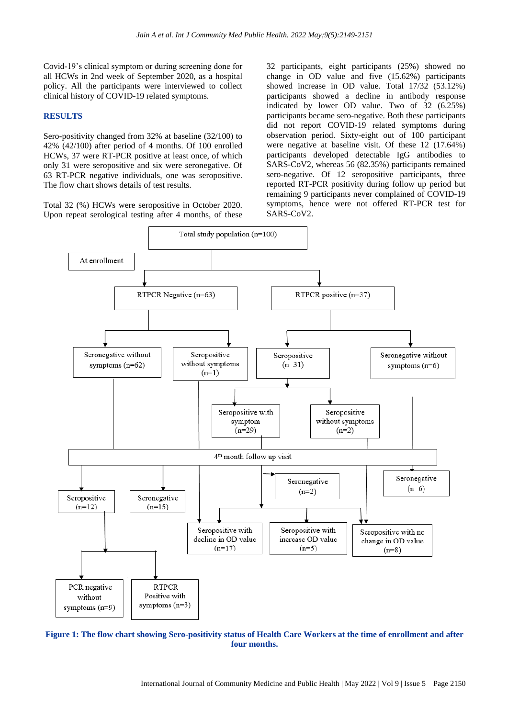Covid-19's clinical symptom or during screening done for all HCWs in 2nd week of September 2020, as a hospital policy. All the participants were interviewed to collect clinical history of COVID-19 related symptoms.

#### **RESULTS**

Sero-positivity changed from 32% at baseline (32/100) to 42% (42/100) after period of 4 months. Of 100 enrolled HCWs, 37 were RT-PCR positive at least once, of which only 31 were seropositive and six were seronegative. Of 63 RT-PCR negative individuals, one was seropositive. The flow chart shows details of test results.

Total 32 (%) HCWs were seropositive in October 2020. Upon repeat serological testing after 4 months, of these

32 participants, eight participants (25%) showed no change in OD value and five (15.62%) participants showed increase in OD value. Total 17/32 (53.12%) participants showed a decline in antibody response indicated by lower OD value. Two of 32 (6.25%) participants became sero-negative. Both these participants did not report COVID-19 related symptoms during observation period. Sixty-eight out of 100 participant were negative at baseline visit. Of these 12 (17.64%) participants developed detectable IgG antibodies to SARS-CoV2, whereas 56 (82.35%) participants remained sero-negative. Of 12 seropositive participants, three reported RT-PCR positivity during follow up period but remaining 9 participants never complained of COVID-19 symptoms, hence were not offered RT-PCR test for SARS-CoV2.



**Figure 1: The flow chart showing Sero-positivity status of Health Care Workers at the time of enrollment and after four months.**